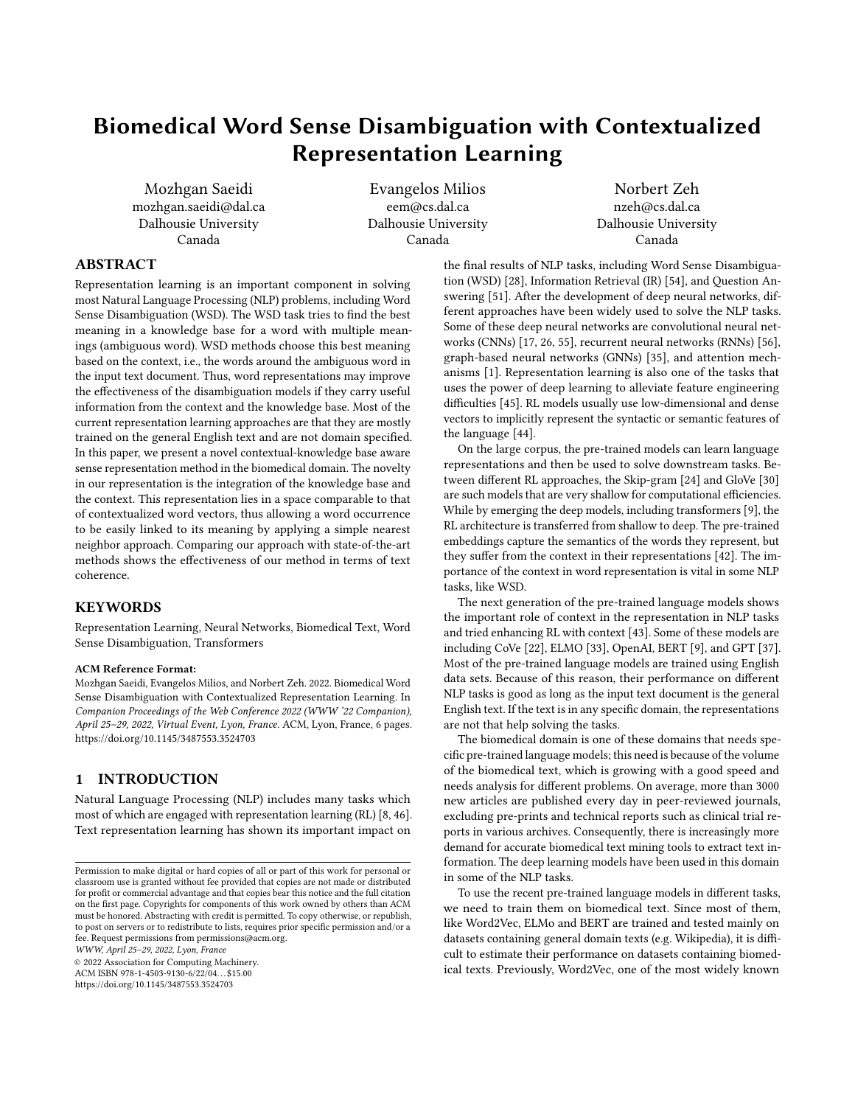# Biomedical Word Sense Disambiguation with Contextualized Representation Learning

Mozhgan Saeidi mozhgan.saeidi@dal.ca Dalhousie University Canada

Evangelos Milios eem@cs.dal.ca Dalhousie University Canada

Norbert Zeh nzeh@cs.dal.ca Dalhousie University Canada

## ABSTRACT

Representation learning is an important component in solving most Natural Language Processing (NLP) problems, including Word Sense Disambiguation (WSD). The WSD task tries to find the best meaning in a knowledge base for a word with multiple meanings (ambiguous word). WSD methods choose this best meaning based on the context, i.e., the words around the ambiguous word in the input text document. Thus, word representations may improve the effectiveness of the disambiguation models if they carry useful information from the context and the knowledge base. Most of the current representation learning approaches are that they are mostly trained on the general English text and are not domain specified. In this paper, we present a novel contextual-knowledge base aware sense representation method in the biomedical domain. The novelty in our representation is the integration of the knowledge base and the context. This representation lies in a space comparable to that of contextualized word vectors, thus allowing a word occurrence to be easily linked to its meaning by applying a simple nearest neighbor approach. Comparing our approach with state-of-the-art methods shows the effectiveness of our method in terms of text coherence.

### KEYWORDS

Representation Learning, Neural Networks, Biomedical Text, Word Sense Disambiguation, Transformers

#### ACM Reference Format:

Mozhgan Saeidi, Evangelos Milios, and Norbert Zeh. 2022. Biomedical Word Sense Disambiguation with Contextualized Representation Learning. In Companion Proceedings of the Web Conference 2022 (WWW '22 Companion), April 25–29, 2022, Virtual Event, Lyon, France. ACM, Lyon, France, [6](#page-5-0) pages. <https://doi.org/10.1145/3487553.3524703>

## 1 INTRODUCTION

Natural Language Processing (NLP) includes many tasks which most of which are engaged with representation learning (RL) [\[8,](#page-4-0) [46\]](#page-5-1). Text representation learning has shown its important impact on

WWW, April 25–29, 2022, Lyon, France

© 2022 Association for Computing Machinery.

ACM ISBN 978-1-4503-9130-6/22/04. . . \$15.00 <https://doi.org/10.1145/3487553.3524703>

the final results of NLP tasks, including Word Sense Disambiguation (WSD) [\[28\]](#page-5-2), Information Retrieval (IR) [\[54\]](#page-5-3), and Question Answering [\[51\]](#page-5-4). After the development of deep neural networks, different approaches have been widely used to solve the NLP tasks. Some of these deep neural networks are convolutional neural networks (CNNs) [\[17,](#page-4-1) [26,](#page-5-5) [55\]](#page-5-6), recurrent neural networks (RNNs) [\[56\]](#page-5-7), graph-based neural networks (GNNs) [\[35\]](#page-5-8), and attention mechanisms [\[1\]](#page-4-2). Representation learning is also one of the tasks that uses the power of deep learning to alleviate feature engineering difficulties [\[45\]](#page-5-9). RL models usually use low-dimensional and dense vectors to implicitly represent the syntactic or semantic features of the language [\[44\]](#page-5-10).

On the large corpus, the pre-trained models can learn language representations and then be used to solve downstream tasks. Between different RL approaches, the Skip-gram [\[24\]](#page-5-11) and GloVe [\[30\]](#page-5-12) are such models that are very shallow for computational efficiencies. While by emerging the deep models, including transformers [\[9\]](#page-4-3), the RL architecture is transferred from shallow to deep. The pre-trained embeddings capture the semantics of the words they represent, but they suffer from the context in their representations [\[42\]](#page-5-13). The importance of the context in word representation is vital in some NLP tasks, like WSD.

The next generation of the pre-trained language models shows the important role of context in the representation in NLP tasks and tried enhancing RL with context [\[43\]](#page-5-14). Some of these models are including CoVe [\[22\]](#page-4-4), ELMO [\[33\]](#page-5-15), OpenAI, BERT [\[9\]](#page-4-3), and GPT [\[37\]](#page-5-16). Most of the pre-trained language models are trained using English data sets. Because of this reason, their performance on different NLP tasks is good as long as the input text document is the general English text. If the text is in any specific domain, the representations are not that help solving the tasks.

The biomedical domain is one of these domains that needs specific pre-trained language models; this need is because of the volume of the biomedical text, which is growing with a good speed and needs analysis for different problems. On average, more than 3000 new articles are published every day in peer-reviewed journals, excluding pre-prints and technical reports such as clinical trial reports in various archives. Consequently, there is increasingly more demand for accurate biomedical text mining tools to extract text information. The deep learning models have been used in this domain in some of the NLP tasks.

To use the recent pre-trained language models in different tasks, we need to train them on biomedical text. Since most of them, like Word2Vec, ELMo and BERT are trained and tested mainly on datasets containing general domain texts (e.g. Wikipedia), it is difficult to estimate their performance on datasets containing biomedical texts. Previously, Word2Vec, one of the most widely known

Permission to make digital or hard copies of all or part of this work for personal or classroom use is granted without fee provided that copies are not made or distributed for profit or commercial advantage and that copies bear this notice and the full citation on the first page. Copyrights for components of this work owned by others than ACM must be honored. Abstracting with credit is permitted. To copy otherwise, or republish, to post on servers or to redistribute to lists, requires prior specific permission and/or a fee. Request permissions from permissions@acm.org.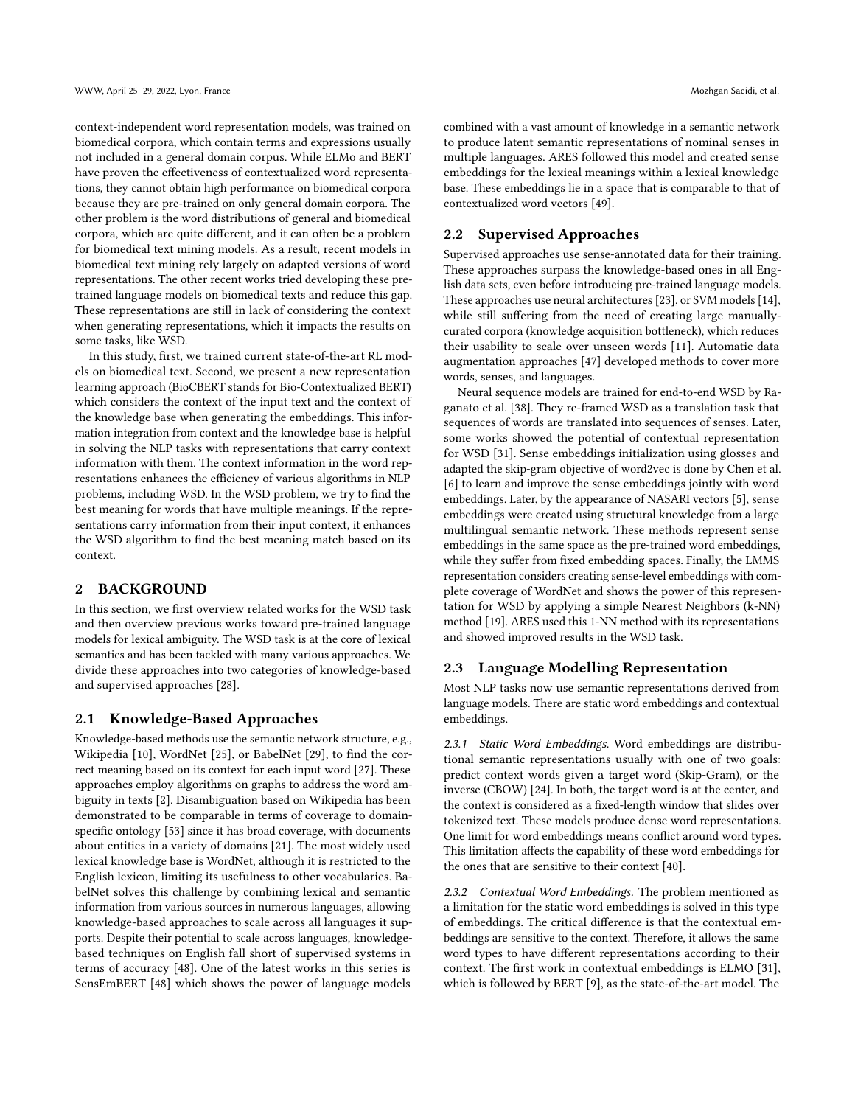context-independent word representation models, was trained on biomedical corpora, which contain terms and expressions usually not included in a general domain corpus. While ELMo and BERT have proven the effectiveness of contextualized word representations, they cannot obtain high performance on biomedical corpora because they are pre-trained on only general domain corpora. The other problem is the word distributions of general and biomedical corpora, which are quite different, and it can often be a problem for biomedical text mining models. As a result, recent models in biomedical text mining rely largely on adapted versions of word representations. The other recent works tried developing these pretrained language models on biomedical texts and reduce this gap. These representations are still in lack of considering the context when generating representations, which it impacts the results on some tasks, like WSD.

In this study, first, we trained current state-of-the-art RL models on biomedical text. Second, we present a new representation learning approach (BioCBERT stands for Bio-Contextualized BERT) which considers the context of the input text and the context of the knowledge base when generating the embeddings. This information integration from context and the knowledge base is helpful in solving the NLP tasks with representations that carry context information with them. The context information in the word representations enhances the efficiency of various algorithms in NLP problems, including WSD. In the WSD problem, we try to find the best meaning for words that have multiple meanings. If the representations carry information from their input context, it enhances the WSD algorithm to find the best meaning match based on its context.

#### 2 BACKGROUND

In this section, we first overview related works for the WSD task and then overview previous works toward pre-trained language models for lexical ambiguity. The WSD task is at the core of lexical semantics and has been tackled with many various approaches. We divide these approaches into two categories of knowledge-based and supervised approaches [\[28\]](#page-5-2).

## 2.1 Knowledge-Based Approaches

Knowledge-based methods use the semantic network structure, e.g., Wikipedia [\[10\]](#page-4-5), WordNet [\[25\]](#page-5-17), or BabelNet [\[29\]](#page-5-18), to find the correct meaning based on its context for each input word [\[27\]](#page-5-19). These approaches employ algorithms on graphs to address the word ambiguity in texts [\[2\]](#page-4-6). Disambiguation based on Wikipedia has been demonstrated to be comparable in terms of coverage to domainspecific ontology [\[53\]](#page-5-20) since it has broad coverage, with documents about entities in a variety of domains [\[21\]](#page-4-7). The most widely used lexical knowledge base is WordNet, although it is restricted to the English lexicon, limiting its usefulness to other vocabularies. BabelNet solves this challenge by combining lexical and semantic information from various sources in numerous languages, allowing knowledge-based approaches to scale across all languages it supports. Despite their potential to scale across languages, knowledgebased techniques on English fall short of supervised systems in terms of accuracy [\[48\]](#page-5-21). One of the latest works in this series is SensEmBERT [\[48\]](#page-5-21) which shows the power of language models

combined with a vast amount of knowledge in a semantic network to produce latent semantic representations of nominal senses in multiple languages. ARES followed this model and created sense embeddings for the lexical meanings within a lexical knowledge base. These embeddings lie in a space that is comparable to that of contextualized word vectors [\[49\]](#page-5-22).

#### 2.2 Supervised Approaches

Supervised approaches use sense-annotated data for their training. These approaches surpass the knowledge-based ones in all English data sets, even before introducing pre-trained language models. These approaches use neural architectures [\[23\]](#page-4-8), or SVM models [\[14\]](#page-4-9), while still suffering from the need of creating large manuallycurated corpora (knowledge acquisition bottleneck), which reduces their usability to scale over unseen words [\[11\]](#page-4-10). Automatic data augmentation approaches [\[47\]](#page-5-23) developed methods to cover more words, senses, and languages.

Neural sequence models are trained for end-to-end WSD by Raganato et al. [\[38\]](#page-5-24). They re-framed WSD as a translation task that sequences of words are translated into sequences of senses. Later, some works showed the potential of contextual representation for WSD [\[31\]](#page-5-25). Sense embeddings initialization using glosses and adapted the skip-gram objective of word2vec is done by Chen et al. [\[6\]](#page-4-11) to learn and improve the sense embeddings jointly with word embeddings. Later, by the appearance of NASARI vectors [\[5\]](#page-4-12), sense embeddings were created using structural knowledge from a large multilingual semantic network. These methods represent sense embeddings in the same space as the pre-trained word embeddings, while they suffer from fixed embedding spaces. Finally, the LMMS representation considers creating sense-level embeddings with complete coverage of WordNet and shows the power of this representation for WSD by applying a simple Nearest Neighbors (k-NN) method [\[19\]](#page-4-13). ARES used this 1-NN method with its representations and showed improved results in the WSD task.

#### 2.3 Language Modelling Representation

Most NLP tasks now use semantic representations derived from language models. There are static word embeddings and contextual embeddings.

2.3.1 Static Word Embeddings. Word embeddings are distributional semantic representations usually with one of two goals: predict context words given a target word (Skip-Gram), or the inverse (CBOW) [\[24\]](#page-5-11). In both, the target word is at the center, and the context is considered as a fixed-length window that slides over tokenized text. These models produce dense word representations. One limit for word embeddings means conflict around word types. This limitation affects the capability of these word embeddings for the ones that are sensitive to their context [\[40\]](#page-5-26).

2.3.2 Contextual Word Embeddings. The problem mentioned as a limitation for the static word embeddings is solved in this type of embeddings. The critical difference is that the contextual embeddings are sensitive to the context. Therefore, it allows the same word types to have different representations according to their context. The first work in contextual embeddings is ELMO [\[31\]](#page-5-25), which is followed by BERT [\[9\]](#page-4-3), as the state-of-the-art model. The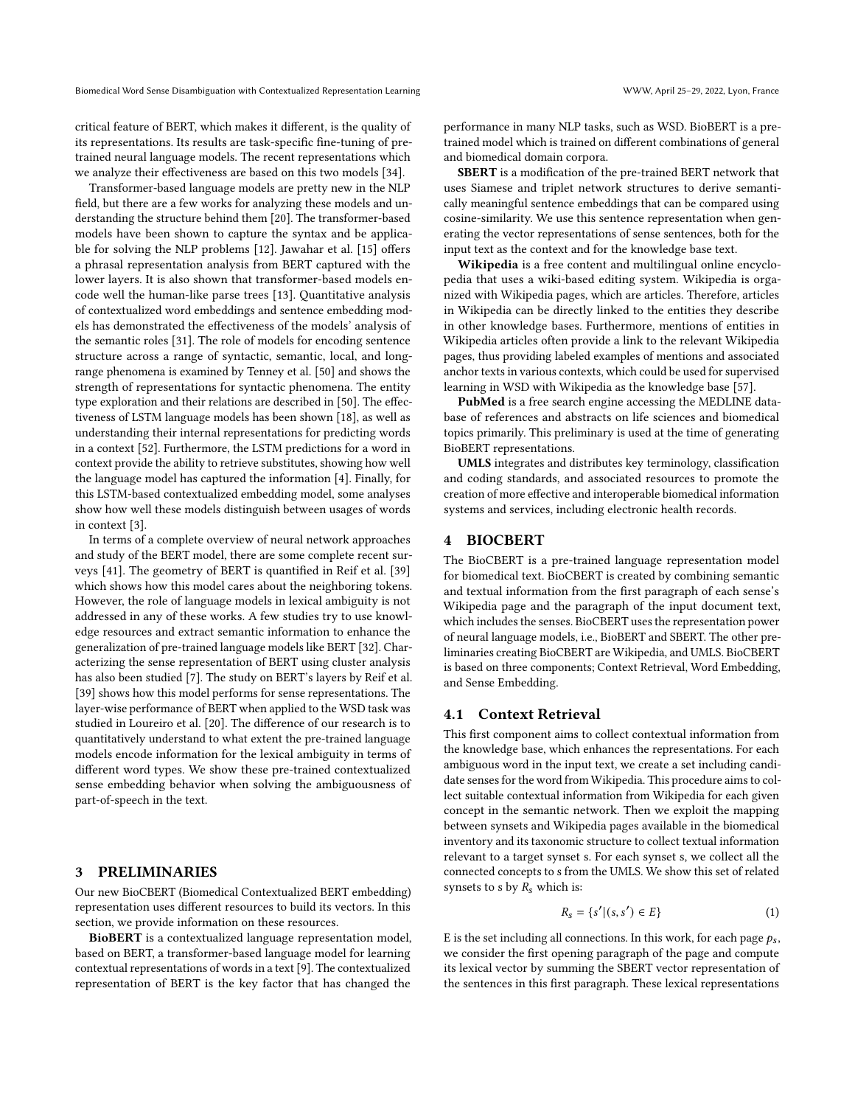critical feature of BERT, which makes it different, is the quality of its representations. Its results are task-specific fine-tuning of pretrained neural language models. The recent representations which we analyze their effectiveness are based on this two models [\[34\]](#page-5-27).

Transformer-based language models are pretty new in the NLP field, but there are a few works for analyzing these models and understanding the structure behind them [\[20\]](#page-4-14). The transformer-based models have been shown to capture the syntax and be applicable for solving the NLP problems [\[12\]](#page-4-15). Jawahar et al. [\[15\]](#page-4-16) offers a phrasal representation analysis from BERT captured with the lower layers. It is also shown that transformer-based models encode well the human-like parse trees [\[13\]](#page-4-17). Quantitative analysis of contextualized word embeddings and sentence embedding models has demonstrated the effectiveness of the models' analysis of the semantic roles [\[31\]](#page-5-25). The role of models for encoding sentence structure across a range of syntactic, semantic, local, and longrange phenomena is examined by Tenney et al. [\[50\]](#page-5-28) and shows the strength of representations for syntactic phenomena. The entity type exploration and their relations are described in [\[50\]](#page-5-28). The effectiveness of LSTM language models has been shown [\[18\]](#page-4-18), as well as understanding their internal representations for predicting words in a context [\[52\]](#page-5-29). Furthermore, the LSTM predictions for a word in context provide the ability to retrieve substitutes, showing how well the language model has captured the information [\[4\]](#page-4-19). Finally, for this LSTM-based contextualized embedding model, some analyses show how well these models distinguish between usages of words in context [\[3\]](#page-4-20).

In terms of a complete overview of neural network approaches and study of the BERT model, there are some complete recent surveys [\[41\]](#page-5-30). The geometry of BERT is quantified in Reif et al. [\[39\]](#page-5-31) which shows how this model cares about the neighboring tokens. However, the role of language models in lexical ambiguity is not addressed in any of these works. A few studies try to use knowledge resources and extract semantic information to enhance the generalization of pre-trained language models like BERT [\[32\]](#page-5-32). Characterizing the sense representation of BERT using cluster analysis has also been studied [\[7\]](#page-4-21). The study on BERT's layers by Reif et al. [\[39\]](#page-5-31) shows how this model performs for sense representations. The layer-wise performance of BERT when applied to the WSD task was studied in Loureiro et al. [\[20\]](#page-4-14). The difference of our research is to quantitatively understand to what extent the pre-trained language models encode information for the lexical ambiguity in terms of different word types. We show these pre-trained contextualized sense embedding behavior when solving the ambiguousness of part-of-speech in the text.

## 3 PRELIMINARIES

Our new BioCBERT (Biomedical Contextualized BERT embedding) representation uses different resources to build its vectors. In this section, we provide information on these resources.

BioBERT is a contextualized language representation model, based on BERT, a transformer-based language model for learning contextual representations of words in a text [\[9\]](#page-4-3). The contextualized representation of BERT is the key factor that has changed the

performance in many NLP tasks, such as WSD. BioBERT is a pretrained model which is trained on different combinations of general and biomedical domain corpora.

SBERT is a modification of the pre-trained BERT network that uses Siamese and triplet network structures to derive semantically meaningful sentence embeddings that can be compared using cosine-similarity. We use this sentence representation when generating the vector representations of sense sentences, both for the input text as the context and for the knowledge base text.

Wikipedia is a free content and multilingual online encyclopedia that uses a wiki-based editing system. Wikipedia is organized with Wikipedia pages, which are articles. Therefore, articles in Wikipedia can be directly linked to the entities they describe in other knowledge bases. Furthermore, mentions of entities in Wikipedia articles often provide a link to the relevant Wikipedia pages, thus providing labeled examples of mentions and associated anchor texts in various contexts, which could be used for supervised learning in WSD with Wikipedia as the knowledge base [\[57\]](#page-5-33).

PubMed is a free search engine accessing the MEDLINE database of references and abstracts on life sciences and biomedical topics primarily. This preliminary is used at the time of generating BioBERT representations.

UMLS integrates and distributes key terminology, classification and coding standards, and associated resources to promote the creation of more effective and interoperable biomedical information systems and services, including electronic health records.

### 4 BIOCBERT

The BioCBERT is a pre-trained language representation model for biomedical text. BioCBERT is created by combining semantic and textual information from the first paragraph of each sense's Wikipedia page and the paragraph of the input document text, which includes the senses. BioCBERT uses the representation power of neural language models, i.e., BioBERT and SBERT. The other preliminaries creating BioCBERT are Wikipedia, and UMLS. BioCBERT is based on three components; Context Retrieval, Word Embedding, and Sense Embedding.

### 4.1 Context Retrieval

This first component aims to collect contextual information from the knowledge base, which enhances the representations. For each ambiguous word in the input text, we create a set including candidate senses for the word from Wikipedia. This procedure aims to collect suitable contextual information from Wikipedia for each given concept in the semantic network. Then we exploit the mapping between synsets and Wikipedia pages available in the biomedical inventory and its taxonomic structure to collect textual information relevant to a target synset s. For each synset s, we collect all the connected concepts to s from the UMLS. We show this set of related synsets to s by  $R_s$  which is:

$$
R_s = \{s' | (s, s') \in E\}
$$
 (1)

E is the set including all connections. In this work, for each page  $p_s$ , we consider the first opening paragraph of the page and compute its lexical vector by summing the SBERT vector representation of the sentences in this first paragraph. These lexical representations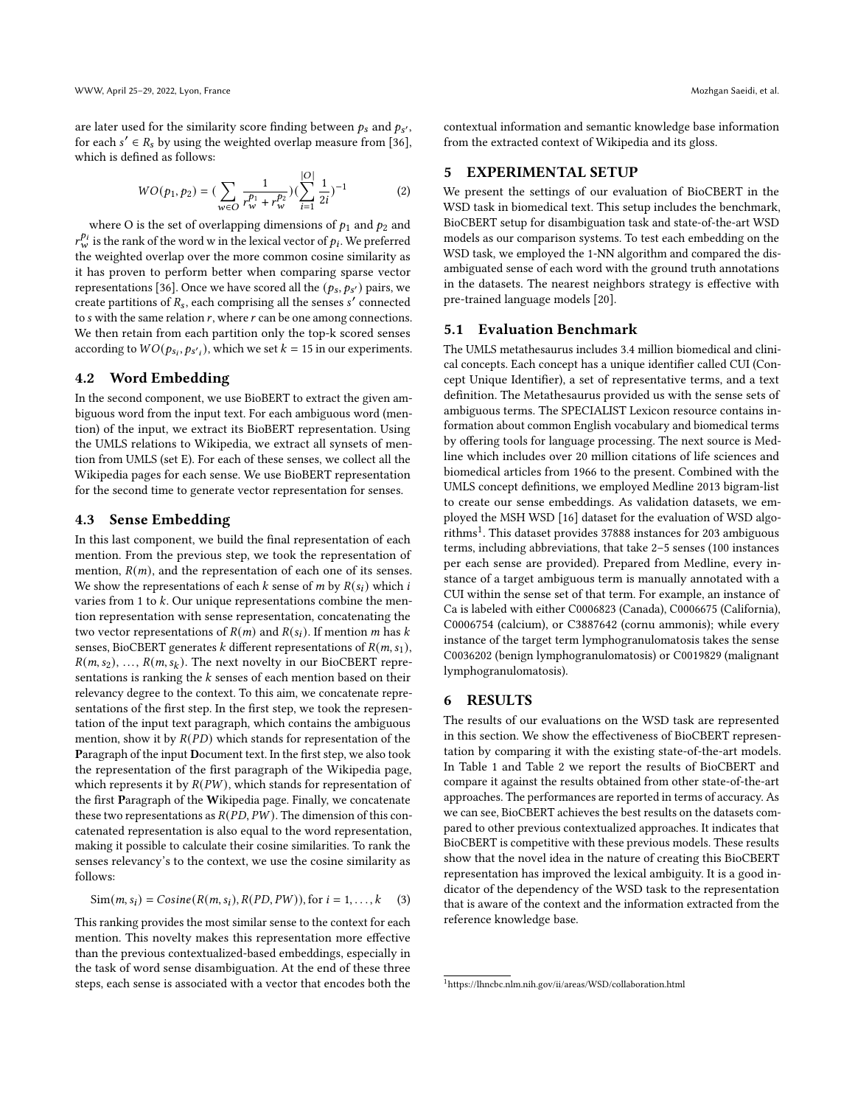are later used for the similarity score finding between  $p_s$  and  $p_{s'}$ , for each  $s' \in R_s$  by using the weighted overlap measure from [\[36\]](#page-5-34), which is defined as follows:

$$
WO(p_1, p_2) = \left(\sum_{w \in O} \frac{1}{r_w^{p_1} + r_w^{p_2}}\right) \left(\sum_{i=1}^{|O|} \frac{1}{2i}\right)^{-1} \tag{2}
$$

 $| \cdot \rangle$ 

where O is the set of overlapping dimensions of  $p_1$  and  $p_2$  and  $r_{w}^{p_i}$  is the rank of the word w in the lexical vector of  $p_i$ . We preferred the weighted overlap over the more common cosine similarity as it has proven to perform better when comparing sparse vector representations [\[36\]](#page-5-34). Once we have scored all the  $(p_s, p_{s'})$  pairs, we create partitions of  $R_s$ , each comprising all the senses  $s'$  connected to  $s$  with the same relation  $r$ , where  $r$  can be one among connections. We then retain from each partition only the top-k scored senses according to  $WO(p_{s_i}, p_{s'_i})$ , which we set  $k = 15$  in our experiments.

#### 4.2 Word Embedding

In the second component, we use BioBERT to extract the given ambiguous word from the input text. For each ambiguous word (mention) of the input, we extract its BioBERT representation. Using the UMLS relations to Wikipedia, we extract all synsets of mention from UMLS (set E). For each of these senses, we collect all the Wikipedia pages for each sense. We use BioBERT representation for the second time to generate vector representation for senses.

#### 4.3 Sense Embedding

In this last component, we build the final representation of each mention. From the previous step, we took the representation of mention,  $R(m)$ , and the representation of each one of its senses. We show the representations of each  $k$  sense of  $m$  by  $R(s_i)$  which i varies from 1 to  $k$ . Our unique representations combine the mention representation with sense representation, concatenating the two vector representations of  $R(m)$  and  $R(s_i)$ . If mention *m* has *k* senses, BioCBERT generates k different representations of  $R(m, s<sub>1</sub>)$ ,  $R(m, s_2), ..., R(m, s_k)$ . The next novelty in our BioCBERT representations is ranking the  $k$  senses of each mention based on their relevancy degree to the context. To this aim, we concatenate representations of the first step. In the first step, we took the representation of the input text paragraph, which contains the ambiguous mention, show it by  $R(PD)$  which stands for representation of the Paragraph of the input Document text. In the first step, we also took the representation of the first paragraph of the Wikipedia page, which represents it by  $R(PW)$ , which stands for representation of the first Paragraph of the Wikipedia page. Finally, we concatenate these two representations as  $R(PD, PW)$ . The dimension of this concatenated representation is also equal to the word representation, making it possible to calculate their cosine similarities. To rank the senses relevancy's to the context, we use the cosine similarity as follows:

$$
Sim(m, s_i) = Cosine(R(m, s_i), R(PD, PW)), \text{for } i = 1, \dots, k \quad (3)
$$

This ranking provides the most similar sense to the context for each mention. This novelty makes this representation more effective than the previous contextualized-based embeddings, especially in the task of word sense disambiguation. At the end of these three steps, each sense is associated with a vector that encodes both the contextual information and semantic knowledge base information from the extracted context of Wikipedia and its gloss.

#### 5 EXPERIMENTAL SETUP

We present the settings of our evaluation of BioCBERT in the WSD task in biomedical text. This setup includes the benchmark, BioCBERT setup for disambiguation task and state-of-the-art WSD models as our comparison systems. To test each embedding on the WSD task, we employed the 1-NN algorithm and compared the disambiguated sense of each word with the ground truth annotations in the datasets. The nearest neighbors strategy is effective with pre-trained language models [\[20\]](#page-4-14).

#### 5.1 Evaluation Benchmark

The UMLS metathesaurus includes 3.4 million biomedical and clinical concepts. Each concept has a unique identifier called CUI (Concept Unique Identifier), a set of representative terms, and a text definition. The Metathesaurus provided us with the sense sets of ambiguous terms. The SPECIALIST Lexicon resource contains information about common English vocabulary and biomedical terms by offering tools for language processing. The next source is Medline which includes over 20 million citations of life sciences and biomedical articles from 1966 to the present. Combined with the UMLS concept definitions, we employed Medline 2013 bigram-list to create our sense embeddings. As validation datasets, we employed the MSH WSD [\[16\]](#page-4-22) dataset for the evaluation of WSD algo-rithms<sup>[1](#page-3-0)</sup>. This dataset provides 37888 instances for 203 ambiguous terms, including abbreviations, that take 2–5 senses (100 instances per each sense are provided). Prepared from Medline, every instance of a target ambiguous term is manually annotated with a CUI within the sense set of that term. For example, an instance of Ca is labeled with either C0006823 (Canada), C0006675 (California), C0006754 (calcium), or C3887642 (cornu ammonis); while every instance of the target term lymphogranulomatosis takes the sense C0036202 (benign lymphogranulomatosis) or C0019829 (malignant lymphogranulomatosis).

#### 6 RESULTS

The results of our evaluations on the WSD task are represented in this section. We show the effectiveness of BioCBERT representation by comparing it with the existing state-of-the-art models. In Table [1](#page-4-23) and Table [2](#page-4-24) we report the results of BioCBERT and compare it against the results obtained from other state-of-the-art approaches. The performances are reported in terms of accuracy. As we can see, BioCBERT achieves the best results on the datasets compared to other previous contextualized approaches. It indicates that BioCBERT is competitive with these previous models. These results show that the novel idea in the nature of creating this BioCBERT representation has improved the lexical ambiguity. It is a good indicator of the dependency of the WSD task to the representation that is aware of the context and the information extracted from the reference knowledge base.

<span id="page-3-0"></span><sup>1</sup>https://lhncbc.nlm.nih.gov/ii/areas/WSD/collaboration.html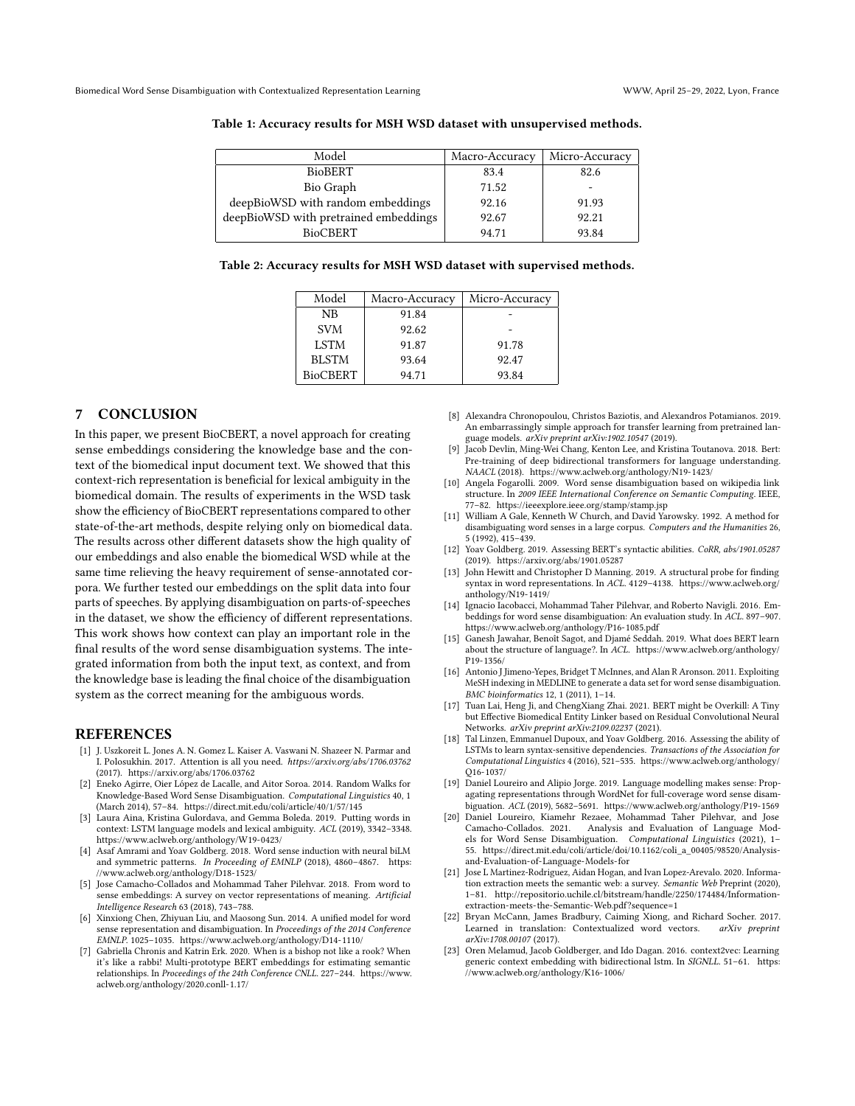| Model                                 | Macro-Accuracy | Micro-Accuracy |
|---------------------------------------|----------------|----------------|
| <b>BioBERT</b>                        | 83.4           | 82.6           |
| Bio Graph                             | 71.52          |                |
| deepBioWSD with random embeddings     | 92.16          | 91.93          |
| deepBioWSD with pretrained embeddings | 92.67          | 92.21          |
| <b>BioCBERT</b>                       | 94.71          | 93.84          |

#### <span id="page-4-23"></span>Table 1: Accuracy results for MSH WSD dataset with unsupervised methods.

<span id="page-4-24"></span>Table 2: Accuracy results for MSH WSD dataset with supervised methods.

| Model           | Macro-Accuracy | Micro-Accuracy |
|-----------------|----------------|----------------|
| NB              | 91.84          |                |
| <b>SVM</b>      | 92.62          |                |
| <b>LSTM</b>     | 91.87          | 91.78          |
| <b>BLSTM</b>    | 93.64          | 92.47          |
| <b>BioCBERT</b> | 94.71          | 93.84          |

## 7 CONCLUSION

In this paper, we present BioCBERT, a novel approach for creating sense embeddings considering the knowledge base and the context of the biomedical input document text. We showed that this context-rich representation is beneficial for lexical ambiguity in the biomedical domain. The results of experiments in the WSD task show the efficiency of BioCBERT representations compared to other state-of-the-art methods, despite relying only on biomedical data. The results across other different datasets show the high quality of our embeddings and also enable the biomedical WSD while at the same time relieving the heavy requirement of sense-annotated corpora. We further tested our embeddings on the split data into four parts of speeches. By applying disambiguation on parts-of-speeches in the dataset, we show the efficiency of different representations. This work shows how context can play an important role in the final results of the word sense disambiguation systems. The integrated information from both the input text, as context, and from the knowledge base is leading the final choice of the disambiguation system as the correct meaning for the ambiguous words.

#### REFERENCES

- <span id="page-4-2"></span>[1] J. Uszkoreit L. Jones A. N. Gomez L. Kaiser A. Vaswani N. Shazeer N. Parmar and I. Polosukhin. 2017. Attention is all you need. https://arxiv.org/abs/1706.03762 (2017).<https://arxiv.org/abs/1706.03762>
- <span id="page-4-6"></span>[2] Eneko Agirre, Oier López de Lacalle, and Aitor Soroa. 2014. Random Walks for Knowledge-Based Word Sense Disambiguation. Computational Linguistics 40, 1 (March 2014), 57–84.<https://direct.mit.edu/coli/article/40/1/57/145>
- <span id="page-4-20"></span>[3] Laura Aina, Kristina Gulordava, and Gemma Boleda. 2019. Putting words in context: LSTM language models and lexical ambiguity. ACL (2019), 3342–3348. <https://www.aclweb.org/anthology/W19-0423/>
- <span id="page-4-19"></span>[4] Asaf Amrami and Yoav Goldberg. 2018. Word sense induction with neural biLM and symmetric patterns. In Proceeding of EMNLP (2018), 4860–4867. [https:](https://www.aclweb.org/anthology/D18-1523/) [//www.aclweb.org/anthology/D18-1523/](https://www.aclweb.org/anthology/D18-1523/)
- <span id="page-4-12"></span>[5] Jose Camacho-Collados and Mohammad Taher Pilehvar. 2018. From word to sense embeddings: A survey on vector representations of meaning. Artificial Intelligence Research 63 (2018), 743–788.
- <span id="page-4-11"></span>[6] Xinxiong Chen, Zhiyuan Liu, and Maosong Sun. 2014. A unified model for word sense representation and disambiguation. In Proceedings of the 2014 Conference EMNLP. 1025–1035.<https://www.aclweb.org/anthology/D14-1110/>
- <span id="page-4-21"></span>Gabriella Chronis and Katrin Erk. 2020. When is a bishop not like a rook? When it's like a rabbi! Multi-prototype BERT embeddings for estimating semantic relationships. In Proceedings of the 24th Conference CNLL. 227–244. [https://www.](https://www.aclweb.org/anthology/2020.conll-1.17/) [aclweb.org/anthology/2020.conll-1.17/](https://www.aclweb.org/anthology/2020.conll-1.17/)
- <span id="page-4-0"></span>[8] Alexandra Chronopoulou, Christos Baziotis, and Alexandros Potamianos. 2019. An embarrassingly simple approach for transfer learning from pretrained language models. arXiv preprint arXiv:1902.10547 (2019).
- <span id="page-4-3"></span>[9] Jacob Devlin, Ming-Wei Chang, Kenton Lee, and Kristina Toutanova. 2018. Bert: Pre-training of deep bidirectional transformers for language understanding. NAACL (2018).<https://www.aclweb.org/anthology/N19-1423/>
- <span id="page-4-5"></span>[10] Angela Fogarolli. 2009. Word sense disambiguation based on wikipedia link structure. In 2009 IEEE International Conference on Semantic Computing. IEEE, 77–82.<https://ieeexplore.ieee.org/stamp/stamp.jsp>
- <span id="page-4-10"></span>[11] William A Gale, Kenneth W Church, and David Yarowsky. 1992. A method for disambiguating word senses in a large corpus. Computers and the Humanities 26, 5 (1992), 415–439.
- <span id="page-4-15"></span>[12] Yoav Goldberg. 2019. Assessing BERT's syntactic abilities. CoRR, abs/1901.05287 (2019).<https://arxiv.org/abs/1901.05287>
- <span id="page-4-17"></span>[13] John Hewitt and Christopher D Manning. 2019. A structural probe for finding syntax in word representations. In ACL. 4129–4138. [https://www.aclweb.org/](https://www.aclweb.org/anthology/N19-1419/) [anthology/N19-1419/](https://www.aclweb.org/anthology/N19-1419/)
- <span id="page-4-9"></span>[14] Ignacio Iacobacci, Mohammad Taher Pilehvar, and Roberto Navigli. 2016. Embeddings for word sense disambiguation: An evaluation study. In ACL. 897–907. <https://www.aclweb.org/anthology/P16-1085.pdf>
- <span id="page-4-16"></span>[15] Ganesh Jawahar, Benoît Sagot, and Djamé Seddah. 2019. What does BERT learn about the structure of language?. In ACL. [https://www.aclweb.org/anthology/](https://www.aclweb.org/anthology/P19-1356/) [P19-1356/](https://www.aclweb.org/anthology/P19-1356/)
- <span id="page-4-22"></span>[16] Antonio J Jimeno-Yepes, Bridget T McInnes, and Alan R Aronson. 2011. Exploiting MeSH indexing in MEDLINE to generate a data set for word sense disambiguation. BMC bioinformatics 12, 1 (2011), 1–14.
- <span id="page-4-1"></span>[17] Tuan Lai, Heng Ji, and ChengXiang Zhai. 2021. BERT might be Overkill: A Tiny but Effective Biomedical Entity Linker based on Residual Convolutional Neural Networks. arXiv preprint arXiv:2109.02237 (2021).
- <span id="page-4-18"></span>[18] Tal Linzen, Emmanuel Dupoux, and Yoav Goldberg. 2016. Assessing the ability of LSTMs to learn syntax-sensitive dependencies. Transactions of the Association for Computational Linguistics 4 (2016), 521–535. [https://www.aclweb.org/anthology/](https://www.aclweb.org/anthology/Q16-1037/) [Q16-1037/](https://www.aclweb.org/anthology/Q16-1037/)
- <span id="page-4-13"></span>[19] Daniel Loureiro and Alipio Jorge. 2019. Language modelling makes sense: Propagating representations through WordNet for full-coverage word sense disambiguation. ACL (2019), 5682–5691.<https://www.aclweb.org/anthology/P19-1569>
- <span id="page-4-14"></span>[20] Daniel Loureiro, Kiamehr Rezaee, Mohammad Taher Pilehvar, and Jose Camacho-Collados. 2021. Analysis and Evaluation of Language Mod-els for Word Sense Disambiguation. Computational Linguistics (2021), 1– 55. [https://direct.mit.edu/coli/article/doi/10.1162/coli\\_a\\_00405/98520/Analysis](https://direct.mit.edu/coli/article/doi/10.1162/coli_a_00405/98520/Analysis-and-Evaluation-of-Language-Models-for)[and-Evaluation-of-Language-Models-for](https://direct.mit.edu/coli/article/doi/10.1162/coli_a_00405/98520/Analysis-and-Evaluation-of-Language-Models-for)
- <span id="page-4-7"></span>[21] Jose L Martinez-Rodriguez, Aidan Hogan, and Ivan Lopez-Arevalo. 2020. Information extraction meets the semantic web: a survey. Semantic Web Preprint (2020), 1–81. [http://repositorio.uchile.cl/bitstream/handle/2250/174484/Information](http://repositorio.uchile.cl/bitstream/handle/2250/174484/Information-extraction-meets-the-Semantic-Web.pdf?sequence=1)[extraction-meets-the-Semantic-Web.pdf?sequence=1](http://repositorio.uchile.cl/bitstream/handle/2250/174484/Information-extraction-meets-the-Semantic-Web.pdf?sequence=1)
- <span id="page-4-4"></span>[22] Bryan McCann, James Bradbury, Caiming Xiong, and Richard Socher. 2017. Learned in translation: Contextualized word vectors. arXiv preprint arXiv:1708.00107 (2017).
- <span id="page-4-8"></span>[23] Oren Melamud, Jacob Goldberger, and Ido Dagan. 2016. context2vec: Learning generic context embedding with bidirectional lstm. In SIGNLL. 51–61. [https:](https://www.aclweb.org/anthology/K16-1006/) [//www.aclweb.org/anthology/K16-1006/](https://www.aclweb.org/anthology/K16-1006/)